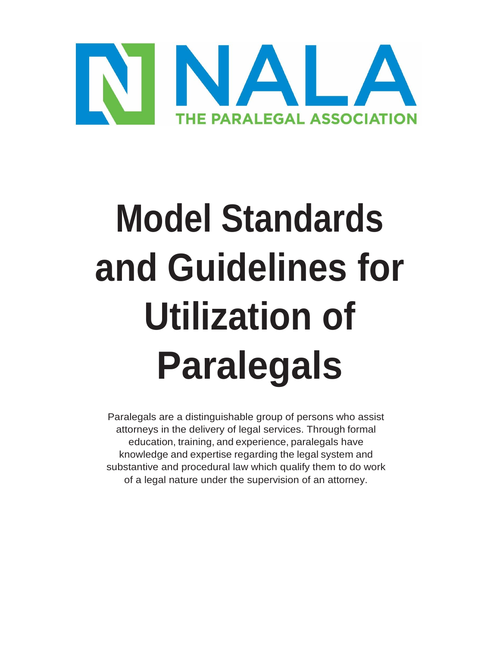

# **Model Standards and Guidelines for Utilization of Paralegals**

Paralegals are a distinguishable group of persons who assist attorneys in the delivery of legal services. Through formal education, training, and experience, paralegals have knowledge and expertise regarding the legal system and substantive and procedural law which qualify them to do work of a legal nature under the supervision of an attorney.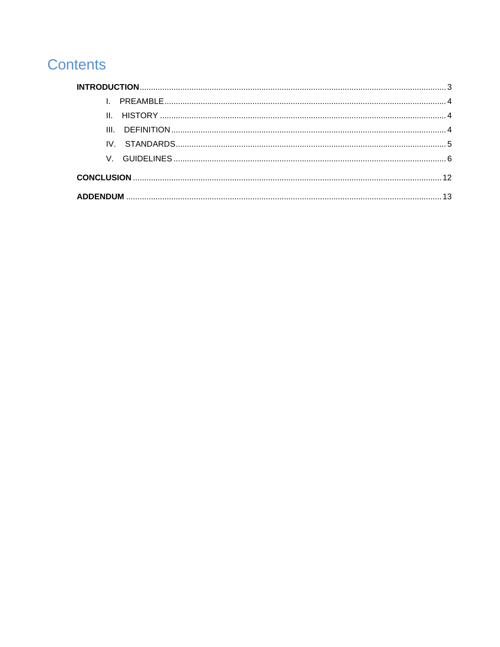# **Contents**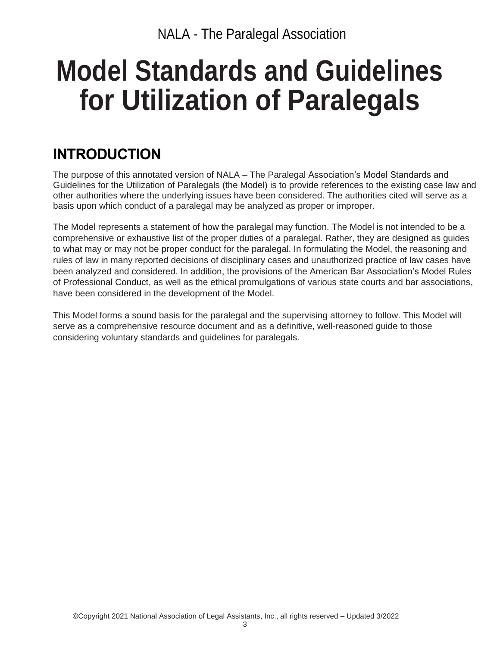# **Model Standards and Guidelines for Utilization of Paralegals**

### **INTRODUCTION**

The purpose of this annotated version of NALA – The Paralegal Association's Model Standards and Guidelines for the Utilization of Paralegals (the Model) is to provide references to the existing case law and other authorities where the underlying issues have been considered. The authorities cited will serve as a basis upon which conduct of a paralegal may be analyzed as proper or improper.

The Model represents a statement of how the paralegal may function. The Model is not intended to be a comprehensive or exhaustive list of the proper duties of a paralegal. Rather, they are designed as guides to what may or may not be proper conduct for the paralegal. In formulating the Model, the reasoning and rules of law in many reported decisions of disciplinary cases and unauthorized practice of law cases have been analyzed and considered. In addition, the provisions of the American Bar Association's Model Rules of Professional Conduct, as well as the ethical promulgations of various state courts and bar associations, have been considered in the development of the Model.

This Model forms a sound basis for the paralegal and the supervising attorney to follow. This Model will serve as a comprehensive resource document and as a definitive, well-reasoned guide to those considering voluntary standards and guidelines for paralegals.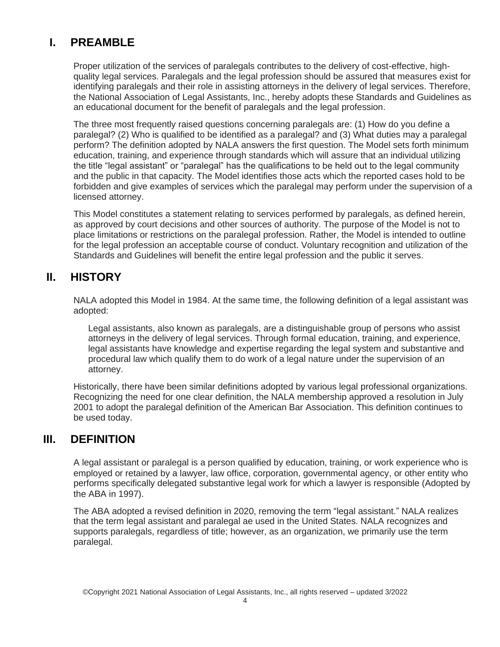#### **I. PREAMBLE**

Proper utilization of the services of paralegals contributes to the delivery of cost-effective, highquality legal services. Paralegals and the legal profession should be assured that measures exist for identifying paralegals and their role in assisting attorneys in the delivery of legal services. Therefore, the National Association of Legal Assistants, Inc., hereby adopts these Standards and Guidelines as an educational document for the benefit of paralegals and the legal profession.

The three most frequently raised questions concerning paralegals are: (1) How do you define a paralegal? (2) Who is qualified to be identified as a paralegal? and (3) What duties may a paralegal perform? The definition adopted by NALA answers the first question. The Model sets forth minimum education, training, and experience through standards which will assure that an individual utilizing the title "legal assistant" or "paralegal" has the qualifications to be held out to the legal community and the public in that capacity. The Model identifies those acts which the reported cases hold to be forbidden and give examples of services which the paralegal may perform under the supervision of a licensed attorney.

This Model constitutes a statement relating to services performed by paralegals, as defined herein, as approved by court decisions and other sources of authority. The purpose of the Model is not to place limitations or restrictions on the paralegal profession. Rather, the Model is intended to outline for the legal profession an acceptable course of conduct. Voluntary recognition and utilization of the Standards and Guidelines will benefit the entire legal profession and the public it serves.

#### **II. HISTORY**

NALA adopted this Model in 1984. At the same time, the following definition of a legal assistant was adopted:

Legal assistants, also known as paralegals, are a distinguishable group of persons who assist attorneys in the delivery of legal services. Through formal education, training, and experience, legal assistants have knowledge and expertise regarding the legal system and substantive and procedural law which qualify them to do work of a legal nature under the supervision of an attorney.

Historically, there have been similar definitions adopted by various legal professional organizations. Recognizing the need for one clear definition, the NALA membership approved a resolution in July 2001 to adopt the paralegal definition of the American Bar Association. This definition continues to be used today.

#### **III. DEFINITION**

A legal assistant or paralegal is a person qualified by education, training, or work experience who is employed or retained by a lawyer, law office, corporation, governmental agency, or other entity who performs specifically delegated substantive legal work for which a lawyer is responsible (Adopted by the ABA in 1997).

The ABA adopted a revised definition in 2020, removing the term "legal assistant." NALA realizes that the term legal assistant and paralegal ae used in the United States. NALA recognizes and supports paralegals, regardless of title; however, as an organization, we primarily use the term paralegal.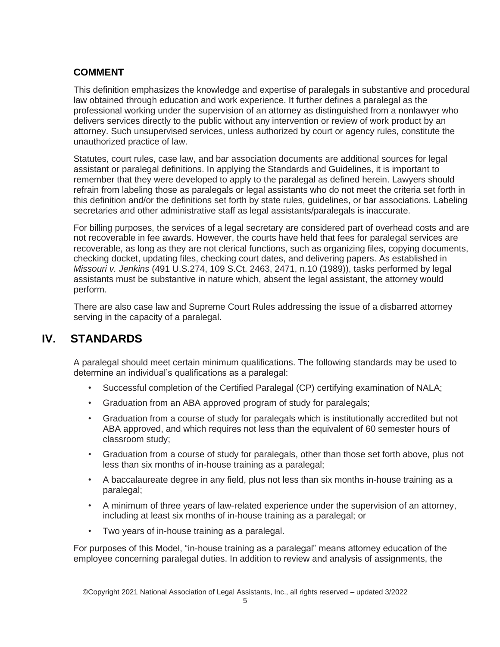#### **COMMENT**

This definition emphasizes the knowledge and expertise of paralegals in substantive and procedural law obtained through education and work experience. It further defines a paralegal as the professional working under the supervision of an attorney as distinguished from a nonlawyer who delivers services directly to the public without any intervention or review of work product by an attorney. Such unsupervised services, unless authorized by court or agency rules, constitute the unauthorized practice of law.

Statutes, court rules, case law, and bar association documents are additional sources for legal assistant or paralegal definitions. In applying the Standards and Guidelines, it is important to remember that they were developed to apply to the paralegal as defined herein. Lawyers should refrain from labeling those as paralegals or legal assistants who do not meet the criteria set forth in this definition and/or the definitions set forth by state rules, guidelines, or bar associations. Labeling secretaries and other administrative staff as legal assistants/paralegals is inaccurate.

For billing purposes, the services of a legal secretary are considered part of overhead costs and are not recoverable in fee awards. However, the courts have held that fees for paralegal services are recoverable, as long as they are not clerical functions, such as organizing files, copying documents, checking docket, updating files, checking court dates, and delivering papers. As established in *Missouri v. Jenkins* (491 U.S.274, 109 S.Ct. 2463, 2471, n.10 (1989)), tasks performed by legal assistants must be substantive in nature which, absent the legal assistant, the attorney would perform.

There are also case law and Supreme Court Rules addressing the issue of a disbarred attorney serving in the capacity of a paralegal.

#### **IV. STANDARDS**

A paralegal should meet certain minimum qualifications. The following standards may be used to determine an individual's qualifications as a paralegal:

- Successful completion of the Certified Paralegal (CP) certifying examination of NALA;
- Graduation from an ABA approved program of study for paralegals;
- Graduation from a course of study for paralegals which is institutionally accredited but not ABA approved, and which requires not less than the equivalent of 60 semester hours of classroom study;
- Graduation from a course of study for paralegals, other than those set forth above, plus not less than six months of in-house training as a paralegal;
- A baccalaureate degree in any field, plus not less than six months in-house training as a paralegal;
- A minimum of three years of law-related experience under the supervision of an attorney, including at least six months of in-house training as a paralegal; or
- Two years of in-house training as a paralegal.

For purposes of this Model, "in-house training as a paralegal" means attorney education of the employee concerning paralegal duties. In addition to review and analysis of assignments, the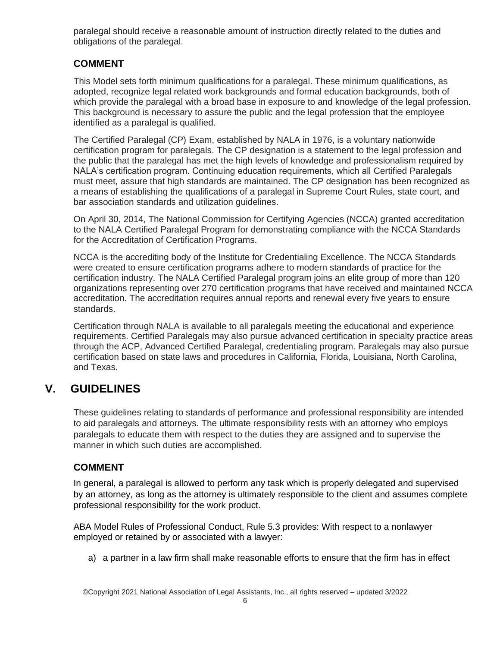paralegal should receive a reasonable amount of instruction directly related to the duties and obligations of the paralegal.

#### **COMMENT**

This Model sets forth minimum qualifications for a paralegal. These minimum qualifications, as adopted, recognize legal related work backgrounds and formal education backgrounds, both of which provide the paralegal with a broad base in exposure to and knowledge of the legal profession. This background is necessary to assure the public and the legal profession that the employee identified as a paralegal is qualified.

The Certified Paralegal (CP) Exam, established by NALA in 1976, is a voluntary nationwide certification program for paralegals. The CP designation is a statement to the legal profession and the public that the paralegal has met the high levels of knowledge and professionalism required by NALA's certification program. Continuing education requirements, which all Certified Paralegals must meet, assure that high standards are maintained. The CP designation has been recognized as a means of establishing the qualifications of a paralegal in Supreme Court Rules, state court, and bar association standards and utilization guidelines.

On April 30, 2014, The National Commission for Certifying Agencies (NCCA) granted accreditation to the NALA Certified Paralegal Program for demonstrating compliance with the NCCA Standards for the Accreditation of Certification Programs.

NCCA is the accrediting body of the Institute for Credentialing Excellence. The NCCA Standards were created to ensure certification programs adhere to modern standards of practice for the certification industry. The NALA Certified Paralegal program joins an elite group of more than 120 organizations representing over 270 certification programs that have received and maintained NCCA accreditation. The accreditation requires annual reports and renewal every five years to ensure standards.

Certification through NALA is available to all paralegals meeting the educational and experience requirements. Certified Paralegals may also pursue advanced certification in specialty practice areas through the ACP, Advanced Certified Paralegal, credentialing program. Paralegals may also pursue certification based on state laws and procedures in California, Florida, Louisiana, North Carolina, and Texas.

#### **V. GUIDELINES**

These guidelines relating to standards of performance and professional responsibility are intended to aid paralegals and attorneys. The ultimate responsibility rests with an attorney who employs paralegals to educate them with respect to the duties they are assigned and to supervise the manner in which such duties are accomplished.

#### **COMMENT**

In general, a paralegal is allowed to perform any task which is properly delegated and supervised by an attorney, as long as the attorney is ultimately responsible to the client and assumes complete professional responsibility for the work product.

ABA Model Rules of Professional Conduct, Rule 5.3 provides: With respect to a nonlawyer employed or retained by or associated with a lawyer:

a) a partner in a law firm shall make reasonable efforts to ensure that the firm has in effect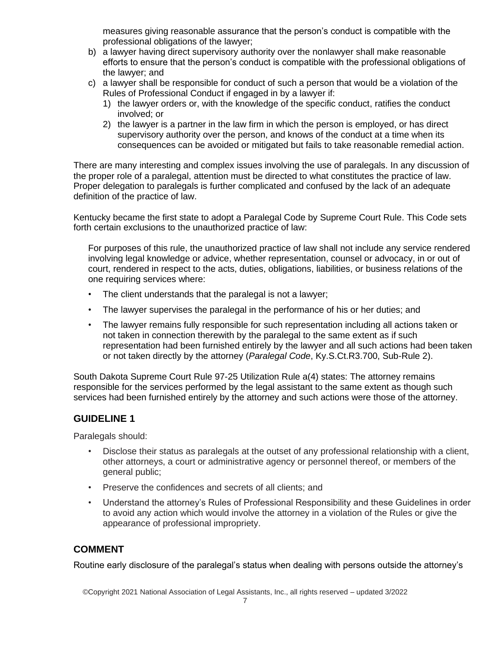measures giving reasonable assurance that the person's conduct is compatible with the professional obligations of the lawyer;

- b) a lawyer having direct supervisory authority over the nonlawyer shall make reasonable efforts to ensure that the person's conduct is compatible with the professional obligations of the lawyer; and
- c) a lawyer shall be responsible for conduct of such a person that would be a violation of the Rules of Professional Conduct if engaged in by a lawyer if:
	- 1) the lawyer orders or, with the knowledge of the specific conduct, ratifies the conduct involved; or
	- 2) the lawyer is a partner in the law firm in which the person is employed, or has direct supervisory authority over the person, and knows of the conduct at a time when its consequences can be avoided or mitigated but fails to take reasonable remedial action.

There are many interesting and complex issues involving the use of paralegals. In any discussion of the proper role of a paralegal, attention must be directed to what constitutes the practice of law. Proper delegation to paralegals is further complicated and confused by the lack of an adequate definition of the practice of law.

Kentucky became the first state to adopt a Paralegal Code by Supreme Court Rule. This Code sets forth certain exclusions to the unauthorized practice of law:

For purposes of this rule, the unauthorized practice of law shall not include any service rendered involving legal knowledge or advice, whether representation, counsel or advocacy, in or out of court, rendered in respect to the acts, duties, obligations, liabilities, or business relations of the one requiring services where:

- The client understands that the paralegal is not a lawyer;
- The lawyer supervises the paralegal in the performance of his or her duties; and
- The lawyer remains fully responsible for such representation including all actions taken or not taken in connection therewith by the paralegal to the same extent as if such representation had been furnished entirely by the lawyer and all such actions had been taken or not taken directly by the attorney (*Paralegal Code*, Ky.S.Ct.R3.700, Sub-Rule 2).

South Dakota Supreme Court Rule 97-25 Utilization Rule a(4) states: The attorney remains responsible for the services performed by the legal assistant to the same extent as though such services had been furnished entirely by the attorney and such actions were those of the attorney.

#### **GUIDELINE 1**

Paralegals should:

- Disclose their status as paralegals at the outset of any professional relationship with a client, other attorneys, a court or administrative agency or personnel thereof, or members of the general public;
- Preserve the confidences and secrets of all clients; and
- Understand the attorney's Rules of Professional Responsibility and these Guidelines in order to avoid any action which would involve the attorney in a violation of the Rules or give the appearance of professional impropriety.

#### **COMMENT**

Routine early disclosure of the paralegal's status when dealing with persons outside the attorney's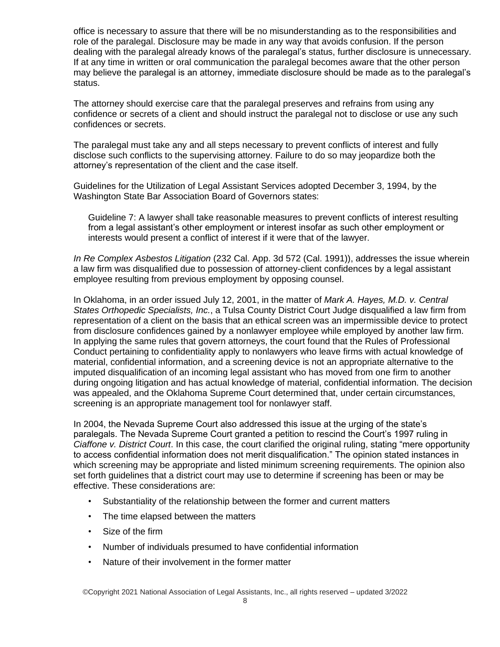office is necessary to assure that there will be no misunderstanding as to the responsibilities and role of the paralegal. Disclosure may be made in any way that avoids confusion. If the person dealing with the paralegal already knows of the paralegal's status, further disclosure is unnecessary. If at any time in written or oral communication the paralegal becomes aware that the other person may believe the paralegal is an attorney, immediate disclosure should be made as to the paralegal's status.

The attorney should exercise care that the paralegal preserves and refrains from using any confidence or secrets of a client and should instruct the paralegal not to disclose or use any such confidences or secrets.

The paralegal must take any and all steps necessary to prevent conflicts of interest and fully disclose such conflicts to the supervising attorney. Failure to do so may jeopardize both the attorney's representation of the client and the case itself.

Guidelines for the Utilization of Legal Assistant Services adopted December 3, 1994, by the Washington State Bar Association Board of Governors states:

Guideline 7: A lawyer shall take reasonable measures to prevent conflicts of interest resulting from a legal assistant's other employment or interest insofar as such other employment or interests would present a conflict of interest if it were that of the lawyer.

*In Re Complex Asbestos Litigation* (232 Cal. App. 3d 572 (Cal. 1991)), addresses the issue wherein a law firm was disqualified due to possession of attorney-client confidences by a legal assistant employee resulting from previous employment by opposing counsel.

In Oklahoma, in an order issued July 12, 2001, in the matter of *Mark A. Hayes, M.D. v. Central States Orthopedic Specialists, Inc.*, a Tulsa County District Court Judge disqualified a law firm from representation of a client on the basis that an ethical screen was an impermissible device to protect from disclosure confidences gained by a nonlawyer employee while employed by another law firm. In applying the same rules that govern attorneys, the court found that the Rules of Professional Conduct pertaining to confidentiality apply to nonlawyers who leave firms with actual knowledge of material, confidential information, and a screening device is not an appropriate alternative to the imputed disqualification of an incoming legal assistant who has moved from one firm to another during ongoing litigation and has actual knowledge of material, confidential information. The decision was appealed, and the Oklahoma Supreme Court determined that, under certain circumstances, screening is an appropriate management tool for nonlawyer staff.

In 2004, the Nevada Supreme Court also addressed this issue at the urging of the state's paralegals. The Nevada Supreme Court granted a petition to rescind the Court's 1997 ruling in *Ciaffone v. District Court*. In this case, the court clarified the original ruling, stating "mere opportunity to access confidential information does not merit disqualification." The opinion stated instances in which screening may be appropriate and listed minimum screening requirements. The opinion also set forth guidelines that a district court may use to determine if screening has been or may be effective. These considerations are:

- Substantiality of the relationship between the former and current matters
- The time elapsed between the matters
- Size of the firm
- Number of individuals presumed to have confidential information
- Nature of their involvement in the former matter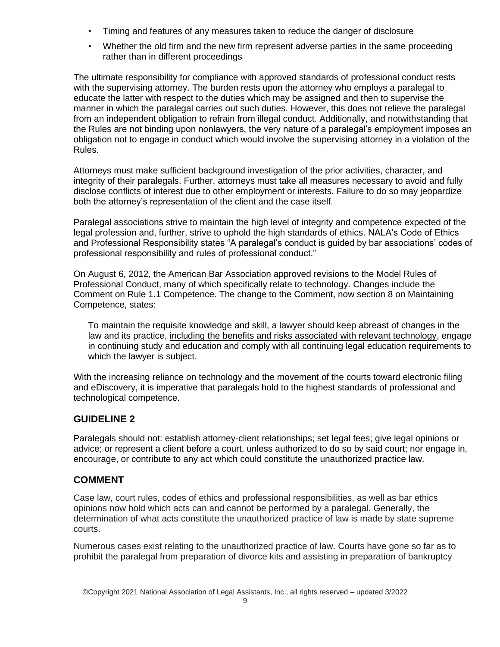- Timing and features of any measures taken to reduce the danger of disclosure
- Whether the old firm and the new firm represent adverse parties in the same proceeding rather than in different proceedings

The ultimate responsibility for compliance with approved standards of professional conduct rests with the supervising attorney. The burden rests upon the attorney who employs a paralegal to educate the latter with respect to the duties which may be assigned and then to supervise the manner in which the paralegal carries out such duties. However, this does not relieve the paralegal from an independent obligation to refrain from illegal conduct. Additionally, and notwithstanding that the Rules are not binding upon nonlawyers, the very nature of a paralegal's employment imposes an obligation not to engage in conduct which would involve the supervising attorney in a violation of the Rules.

Attorneys must make sufficient background investigation of the prior activities, character, and integrity of their paralegals. Further, attorneys must take all measures necessary to avoid and fully disclose conflicts of interest due to other employment or interests. Failure to do so may jeopardize both the attorney's representation of the client and the case itself.

Paralegal associations strive to maintain the high level of integrity and competence expected of the legal profession and, further, strive to uphold the high standards of ethics. NALA's Code of Ethics and Professional Responsibility states "A paralegal's conduct is guided by bar associations' codes of professional responsibility and rules of professional conduct."

On August 6, 2012, the American Bar Association approved revisions to the Model Rules of Professional Conduct, many of which specifically relate to technology. Changes include the Comment on Rule 1.1 Competence. The change to the Comment, now section 8 on Maintaining Competence, states:

To maintain the requisite knowledge and skill, a lawyer should keep abreast of changes in the law and its practice, including the benefits and risks associated with relevant technology, engage in continuing study and education and comply with all continuing legal education requirements to which the lawyer is subject.

With the increasing reliance on technology and the movement of the courts toward electronic filing and eDiscovery, it is imperative that paralegals hold to the highest standards of professional and technological competence.

#### **GUIDELINE 2**

Paralegals should not: establish attorney-client relationships; set legal fees; give legal opinions or advice; or represent a client before a court, unless authorized to do so by said court; nor engage in, encourage, or contribute to any act which could constitute the unauthorized practice law.

#### **COMMENT**

Case law, court rules, codes of ethics and professional responsibilities, as well as bar ethics opinions now hold which acts can and cannot be performed by a paralegal. Generally, the determination of what acts constitute the unauthorized practice of law is made by state supreme courts.

Numerous cases exist relating to the unauthorized practice of law. Courts have gone so far as to prohibit the paralegal from preparation of divorce kits and assisting in preparation of bankruptcy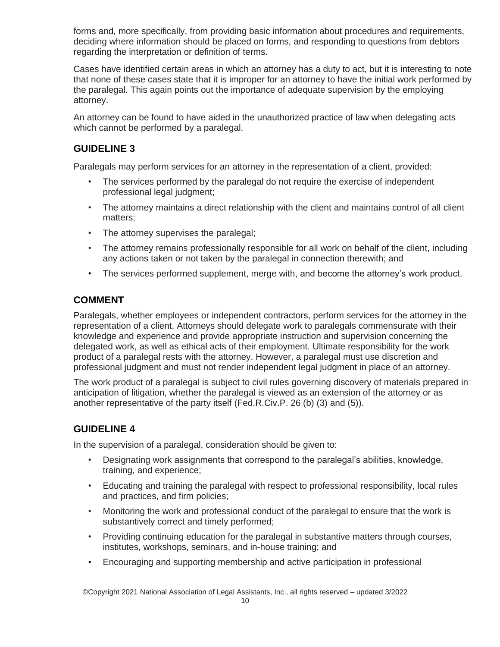forms and, more specifically, from providing basic information about procedures and requirements, deciding where information should be placed on forms, and responding to questions from debtors regarding the interpretation or definition of terms.

Cases have identified certain areas in which an attorney has a duty to act, but it is interesting to note that none of these cases state that it is improper for an attorney to have the initial work performed by the paralegal. This again points out the importance of adequate supervision by the employing attorney.

An attorney can be found to have aided in the unauthorized practice of law when delegating acts which cannot be performed by a paralegal.

#### **GUIDELINE 3**

Paralegals may perform services for an attorney in the representation of a client, provided:

- The services performed by the paralegal do not require the exercise of independent professional legal judgment;
- The attorney maintains a direct relationship with the client and maintains control of all client matters;
- The attorney supervises the paralegal;
- The attorney remains professionally responsible for all work on behalf of the client, including any actions taken or not taken by the paralegal in connection therewith; and
- The services performed supplement, merge with, and become the attorney's work product.

#### **COMMENT**

Paralegals, whether employees or independent contractors, perform services for the attorney in the representation of a client. Attorneys should delegate work to paralegals commensurate with their knowledge and experience and provide appropriate instruction and supervision concerning the delegated work, as well as ethical acts of their employment. Ultimate responsibility for the work product of a paralegal rests with the attorney. However, a paralegal must use discretion and professional judgment and must not render independent legal judgment in place of an attorney.

The work product of a paralegal is subject to civil rules governing discovery of materials prepared in anticipation of litigation, whether the paralegal is viewed as an extension of the attorney or as another representative of the party itself (Fed.R.Civ.P. 26 (b) (3) and (5)).

#### **GUIDELINE 4**

In the supervision of a paralegal, consideration should be given to:

- Designating work assignments that correspond to the paralegal's abilities, knowledge, training, and experience;
- Educating and training the paralegal with respect to professional responsibility, local rules and practices, and firm policies;
- Monitoring the work and professional conduct of the paralegal to ensure that the work is substantively correct and timely performed;
- Providing continuing education for the paralegal in substantive matters through courses, institutes, workshops, seminars, and in-house training; and
- Encouraging and supporting membership and active participation in professional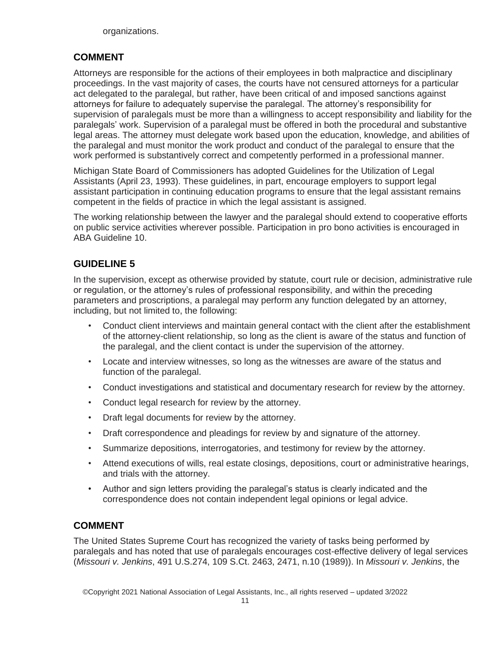organizations.

#### **COMMENT**

Attorneys are responsible for the actions of their employees in both malpractice and disciplinary proceedings. In the vast majority of cases, the courts have not censured attorneys for a particular act delegated to the paralegal, but rather, have been critical of and imposed sanctions against attorneys for failure to adequately supervise the paralegal. The attorney's responsibility for supervision of paralegals must be more than a willingness to accept responsibility and liability for the paralegals' work. Supervision of a paralegal must be offered in both the procedural and substantive legal areas. The attorney must delegate work based upon the education, knowledge, and abilities of the paralegal and must monitor the work product and conduct of the paralegal to ensure that the work performed is substantively correct and competently performed in a professional manner.

Michigan State Board of Commissioners has adopted Guidelines for the Utilization of Legal Assistants (April 23, 1993). These guidelines, in part, encourage employers to support legal assistant participation in continuing education programs to ensure that the legal assistant remains competent in the fields of practice in which the legal assistant is assigned.

The working relationship between the lawyer and the paralegal should extend to cooperative efforts on public service activities wherever possible. Participation in pro bono activities is encouraged in ABA Guideline 10.

#### **GUIDELINE 5**

In the supervision, except as otherwise provided by statute, court rule or decision, administrative rule or regulation, or the attorney's rules of professional responsibility, and within the preceding parameters and proscriptions, a paralegal may perform any function delegated by an attorney, including, but not limited to, the following:

- Conduct client interviews and maintain general contact with the client after the establishment of the attorney-client relationship, so long as the client is aware of the status and function of the paralegal, and the client contact is under the supervision of the attorney.
- Locate and interview witnesses, so long as the witnesses are aware of the status and function of the paralegal.
- Conduct investigations and statistical and documentary research for review by the attorney.
- Conduct legal research for review by the attorney.
- Draft legal documents for review by the attorney.
- Draft correspondence and pleadings for review by and signature of the attorney.
- Summarize depositions, interrogatories, and testimony for review by the attorney.
- Attend executions of wills, real estate closings, depositions, court or administrative hearings, and trials with the attorney.
- Author and sign letters providing the paralegal's status is clearly indicated and the correspondence does not contain independent legal opinions or legal advice.

#### **COMMENT**

The United States Supreme Court has recognized the variety of tasks being performed by paralegals and has noted that use of paralegals encourages cost-effective delivery of legal services (*Missouri v. Jenkins*, 491 U.S.274, 109 S.Ct. 2463, 2471, n.10 (1989)). In *Missouri v. Jenkins*, the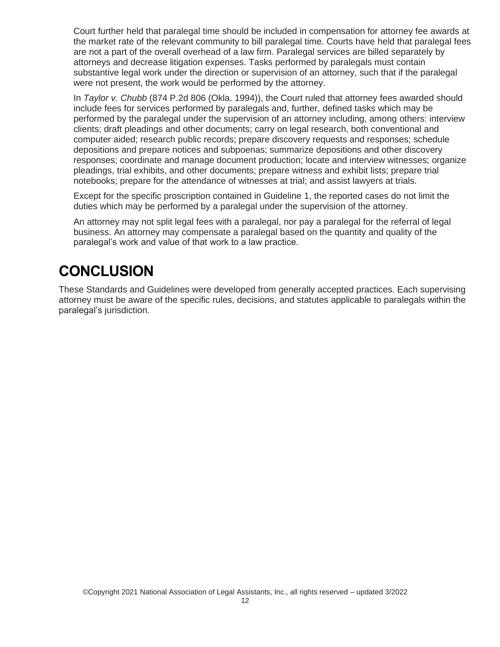Court further held that paralegal time should be included in compensation for attorney fee awards at the market rate of the relevant community to bill paralegal time. Courts have held that paralegal fees are not a part of the overall overhead of a law firm. Paralegal services are billed separately by attorneys and decrease litigation expenses. Tasks performed by paralegals must contain substantive legal work under the direction or supervision of an attorney, such that if the paralegal were not present, the work would be performed by the attorney.

In *Taylor v. Chubb* (874 P.2d 806 (Okla. 1994)), the Court ruled that attorney fees awarded should include fees for services performed by paralegals and, further, defined tasks which may be performed by the paralegal under the supervision of an attorney including, among others: interview clients; draft pleadings and other documents; carry on legal research, both conventional and computer aided; research public records; prepare discovery requests and responses; schedule depositions and prepare notices and subpoenas; summarize depositions and other discovery responses; coordinate and manage document production; locate and interview witnesses; organize pleadings, trial exhibits, and other documents; prepare witness and exhibit lists; prepare trial notebooks; prepare for the attendance of witnesses at trial; and assist lawyers at trials.

Except for the specific proscription contained in Guideline 1, the reported cases do not limit the duties which may be performed by a paralegal under the supervision of the attorney.

An attorney may not split legal fees with a paralegal, nor pay a paralegal for the referral of legal business. An attorney may compensate a paralegal based on the quantity and quality of the paralegal's work and value of that work to a law practice.

# **CONCLUSION**

These Standards and Guidelines were developed from generally accepted practices. Each supervising attorney must be aware of the specific rules, decisions, and statutes applicable to paralegals within the paralegal's jurisdiction.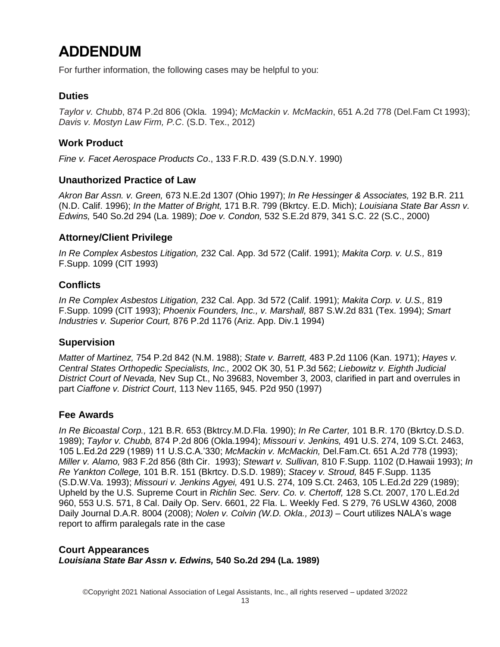# **ADDENDUM**

For further information, the following cases may be helpful to you:

#### **Duties**

*Taylor v. Chubb*, 874 P.2d 806 (Okla. 1994); *McMackin v. McMackin*, 651 A.2d 778 (Del.Fam Ct 1993); *Davis v. Mostyn Law Firm, P.C*. (S.D. Tex., 2012)

#### **Work Product**

*Fine v. Facet Aerospace Products Co*., 133 F.R.D. 439 (S.D.N.Y. 1990)

#### **Unauthorized Practice of Law**

*Akron Bar Assn. v. Green,* 673 N.E.2d 1307 (Ohio 1997); *In Re Hessinger & Associates,* 192 B.R. 211 (N.D. Calif. 1996); *In the Matter of Bright,* 171 B.R. 799 (Bkrtcy. E.D. Mich); *Louisiana State Bar Assn v. Edwins,* 540 So.2d 294 (La. 1989); *Doe v. Condon,* 532 S.E.2d 879, 341 S.C. 22 (S.C., 2000)

#### **Attorney/Client Privilege**

*In Re Complex Asbestos Litigation,* 232 Cal. App. 3d 572 (Calif. 1991); *Makita Corp. v. U.S.,* 819 F.Supp. 1099 (CIT 1993)

#### **Conflicts**

*In Re Complex Asbestos Litigation,* 232 Cal. App. 3d 572 (Calif. 1991); *Makita Corp. v. U.S.,* 819 F.Supp. 1099 (CIT 1993); *Phoenix Founders, Inc., v. Marshall,* 887 S.W.2d 831 (Tex. 1994); *Smart Industries v. Superior Court,* 876 P.2d 1176 (Ariz. App. Div.1 1994)

#### **Supervision**

*Matter of Martinez,* 754 P.2d 842 (N.M. 1988); *State v. Barrett,* 483 P.2d 1106 (Kan. 1971); *Hayes v. Central States Orthopedic Specialists, Inc.,* 2002 OK 30, 51 P.3d 562; *Liebowitz v. Eighth Judicial District Court of Nevada,* Nev Sup Ct., No 39683, November 3, 2003, clarified in part and overrules in part *Ciaffone v. District Court*, 113 Nev 1165, 945. P2d 950 (1997)

#### **Fee Awards**

*In Re Bicoastal Corp.,* 121 B.R. 653 (Bktrcy.M.D.Fla. 1990); *In Re Carter,* 101 B.R. 170 (Bkrtcy.D.S.D. 1989); *Taylor v. Chubb,* 874 P.2d 806 (Okla.1994); *Missouri v. Jenkins,* 491 U.S. 274, 109 S.Ct. 2463, 105 L.Ed.2d 229 (1989) 11 U.S.C.A.'330; *McMackin v. McMackin,* Del.Fam.Ct. 651 A.2d 778 (1993); *Miller v. Alamo,* 983 F.2d 856 (8th Cir. 1993); *Stewart v. Sullivan,* 810 F.Supp. 1102 (D.Hawaii 1993); *In Re Yankton College,* 101 B.R. 151 (Bkrtcy. D.S.D. 1989); *Stacey v. Stroud,* 845 F.Supp. 1135 (S.D.W.Va. 1993); *Missouri v. Jenkins Agyei,* 491 U.S. 274, 109 S.Ct. 2463, 105 L.Ed.2d 229 (1989); Upheld by the U.S. Supreme Court in *Richlin Sec. Serv. Co. v. Chertoff,* 128 S.Ct. 2007, 170 L.Ed.2d 960, 553 U.S. 571, 8 Cal. Daily Op. Serv. 6601, 22 Fla. L. Weekly Fed. S 279, 76 USLW 4360, 2008 Daily Journal D.A.R. 8004 (2008); *Nolen v. Colvin (W.D. Okla., 2013) –* Court utilizes NALA's wage report to affirm paralegals rate in the case

**Court Appearances** *Louisiana State Bar Assn v. Edwins,* **540 So.2d 294 (La. 1989)**